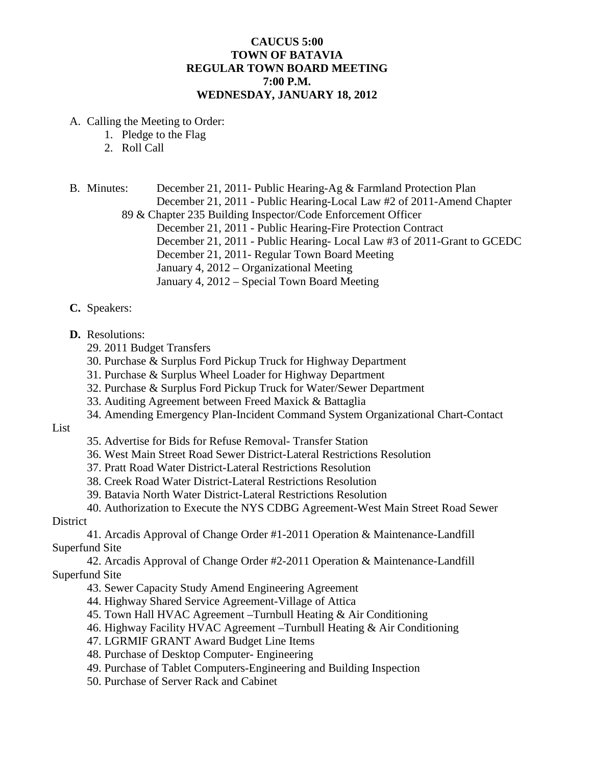### **CAUCUS 5:00 TOWN OF BATAVIA REGULAR TOWN BOARD MEETING 7:00 P.M. WEDNESDAY, JANUARY 18, 2012**

- A. Calling the Meeting to Order:
	- 1. Pledge to the Flag
	- 2. Roll Call

B. Minutes: December 21, 2011- Public Hearing-Ag & Farmland Protection Plan December 21, 2011 - Public Hearing-Local Law #2 of 2011-Amend Chapter 89 & Chapter 235 Building Inspector/Code Enforcement Officer December 21, 2011 - Public Hearing-Fire Protection Contract December 21, 2011 - Public Hearing- Local Law #3 of 2011-Grant to GCEDC December 21, 2011- Regular Town Board Meeting January 4, 2012 – Organizational Meeting January 4, 2012 – Special Town Board Meeting

#### **C.** Speakers:

#### **D.** Resolutions:

- 29. 2011 Budget Transfers
- 30. Purchase & Surplus Ford Pickup Truck for Highway Department
- 31. Purchase & Surplus Wheel Loader for Highway Department
- 32. Purchase & Surplus Ford Pickup Truck for Water/Sewer Department
- 33. Auditing Agreement between Freed Maxick & Battaglia
- 34. Amending Emergency Plan-Incident Command System Organizational Chart-Contact

## List

- 35. Advertise for Bids for Refuse Removal- Transfer Station
- 36. West Main Street Road Sewer District-Lateral Restrictions Resolution
- 37. Pratt Road Water District-Lateral Restrictions Resolution
- 38. Creek Road Water District-Lateral Restrictions Resolution
- 39. Batavia North Water District-Lateral Restrictions Resolution
- 40. Authorization to Execute the NYS CDBG Agreement-West Main Street Road Sewer

# District

41. Arcadis Approval of Change Order #1-2011 Operation & Maintenance-Landfill Superfund Site

42. Arcadis Approval of Change Order #2-2011 Operation & Maintenance-Landfill Superfund Site

- 43. Sewer Capacity Study Amend Engineering Agreement
- 44. Highway Shared Service Agreement-Village of Attica
- 45. Town Hall HVAC Agreement –Turnbull Heating & Air Conditioning
- 46. Highway Facility HVAC Agreement –Turnbull Heating & Air Conditioning
- 47. LGRMIF GRANT Award Budget Line Items
- 48. Purchase of Desktop Computer- Engineering
- 49. Purchase of Tablet Computers-Engineering and Building Inspection
- 50. Purchase of Server Rack and Cabinet